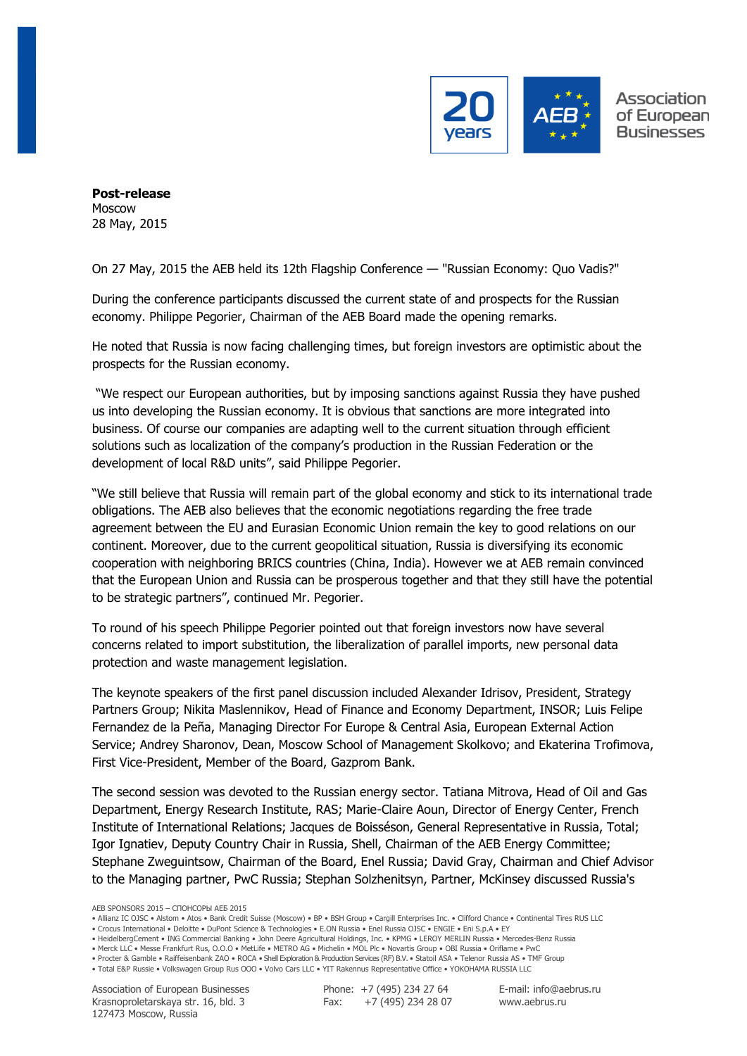

**Post-release Moscow** 28 May, 2015

On 27 May, 2015 the AEB held its 12th Flagship Conference — "Russian Economy: Quo Vadis?"

During the conference participants discussed the current state of and prospects for the Russian economy. Philippe Pegorier, Chairman of the AEB Board made the opening remarks.

He noted that Russia is now facing challenging times, but foreign investors are optimistic about the prospects for the Russian economy.

"We respect our European authorities, but by imposing sanctions against Russia they have pushed us into developing the Russian economy. It is obvious that sanctions are more integrated into business. Of course our companies are adapting well to the current situation through efficient solutions such as localization of the company's production in the Russian Federation or the development of local R&D units", said Philippe Pegorier.

"We still believe that Russia will remain part of the global economy and stick to its international trade obligations. The AEB also believes that the economic negotiations regarding the free trade agreement between the EU and Eurasian Economic Union remain the key to good relations on our continent. Moreover, due to the current geopolitical situation, Russia is diversifying its economic cooperation with neighboring BRICS countries (China, India). However we at AEB remain convinced that the European Union and Russia can be prosperous together and that they still have the potential to be strategic partners", continued Mr. Pegorier.

To round of his speech Philippe Pegorier pointed out that foreign investors now have several concerns related to import substitution, the liberalization of parallel imports, new personal data protection and waste management legislation.

The keynote speakers of the first panel discussion included Alexander Idrisov, President, Strategy Partners Group; Nikita Maslennikov, Head of Finance and Economy Department, INSOR; Luis Felipe Fernandez de la Peña, Managing Director For Europe & Central Asia, European External Action Service; Andrey Sharonov, Dean, Moscow School of Management Skolkovo; and Ekaterina Trofimova, First Vice-President, Member of the Board, Gazprom Bank.

The second session was devoted to the Russian energy sector. Tatiana Mitrova, Head of Oil and Gas Department, Energy Research Institute, RAS; Marie-Claire Aoun, Director of Energy Center, French Institute of International Relations; Jacques de Boisséson, General Representative in Russia, Total; Igor Ignatiev, Deputy Country Chair in Russia, Shell, Chairman of the AEB Energy Committee; Stephane Zweguintsow, Chairman of the Board, Enel Russia; David Gray, Chairman and Chief Advisor to the Managing partner, PwC Russia; Stephan Solzhenitsyn, Partner, McKinsey discussed Russia's

Phone: +7 (495) 234 27 64 Fax: +7 (495) 234 28 07 E-mail: info@aebrus.ru www.aebrus.ru

AEB SPONSORS 2015 – СПОНСОРЫ АЕБ 2015

<sup>•</sup> Allianz IC OJSC • Alstom • Atos • Bank Credit Suisse (Moscow) • BP • BSH Group • Cargill Enterprises Inc. • Clifford Chance • Continental Tires RUS LLC

<sup>•</sup> Crocus International • Deloitte • DuPont Science & Technologies • E.ON Russia • Enel Russia OJSC • ENGIE • Eni S.p.A • EY

<sup>•</sup> HeidelbergCement • ING Commercial Banking • John Deere Agricultural Holdings, Inc. • KPMG • LEROY MERLIN Russia • Mercedes-Benz Russia

<sup>•</sup> Merck LLC • Messe Frankfurt Rus, O.O.O • MetLife • METRO AG • Michelin • MOL Plc • Novartis Group • OBI Russia • Oriflame • PwC

<sup>•</sup> Procter & Gamble • Raiffeisenbank ZAO • ROCA • Shell Exploration & Production Services (RF) B.V. • Statoil ASA • Telenor Russia AS • TMF Group • Total E&P Russie • Volkswagen Group Rus OOO • Volvo Cars LLC • YIT Rakennus Representative Office • YOKOHAMA RUSSIA LLC